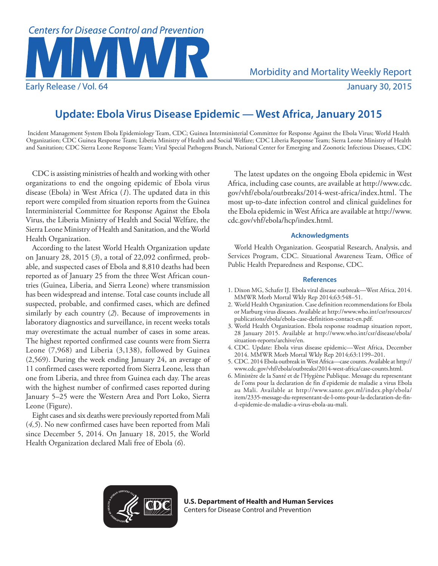

## **Update: Ebola Virus Disease Epidemic — West Africa, January 2015**

Incident Management System Ebola Epidemiology Team, CDC; Guinea Interministerial Committee for Response Against the Ebola Virus; World Health Organization; CDC Guinea Response Team; Liberia Ministry of Health and Social Welfare; CDC Liberia Response Team; Sierra Leone Ministry of Health and Sanitation; CDC Sierra Leone Response Team; Viral Special Pathogens Branch, National Center for Emerging and Zoonotic Infectious Diseases, CDC

CDC is assisting ministries of health and working with other organizations to end the ongoing epidemic of Ebola virus disease (Ebola) in West Africa (*1*). The updated data in this report were compiled from situation reports from the Guinea Interministerial Committee for Response Against the Ebola Virus, the Liberia Ministry of Health and Social Welfare, the Sierra Leone Ministry of Health and Sanitation, and the World Health Organization.

According to the latest World Health Organization update on January 28, 2015 (*3*), a total of 22,092 confirmed, probable, and suspected cases of Ebola and 8,810 deaths had been reported as of January 25 from the three West African countries (Guinea, Liberia, and Sierra Leone) where transmission has been widespread and intense. Total case counts include all suspected, probable, and confirmed cases, which are defined similarly by each country (*2*). Because of improvements in laboratory diagnostics and surveillance, in recent weeks totals may overestimate the actual number of cases in some areas. The highest reported confirmed case counts were from Sierra Leone (7,968) and Liberia (3,138), followed by Guinea (2,569). During the week ending January 24, an average of 11 confirmed cases were reported from Sierra Leone, less than one from Liberia, and three from Guinea each day. The areas with the highest number of confirmed cases reported during January 5–25 were the Western Area and Port Loko, Sierra Leone (Figure).

Eight cases and six deaths were previously reported from Mali (*4,5*). No new confirmed cases have been reported from Mali since December 5, 2014. On January 18, 2015, the World Health Organization declared Mali free of Ebola (*6*).

The latest updates on the ongoing Ebola epidemic in West Africa, including case counts, are available at [http://www.cdc.](http://www.cdc.gov/vhf/ebola/outbreaks/2014-west-africa/index.html) [gov/vhf/ebola/outbreaks/2014-west-africa/index.html.](http://www.cdc.gov/vhf/ebola/outbreaks/2014-west-africa/index.html) The most up-to-date infection control and clinical guidelines for the Ebola epidemic in West Africa are available at [http://www.](http://www.cdc.gov/vhf/ebola/hcp/index.html) [cdc.gov/vhf/ebola/hcp/index.html](http://www.cdc.gov/vhf/ebola/hcp/index.html).

## **Acknowledgments**

World Health Organization. Geospatial Research, Analysis, and Services Program, CDC. Situational Awareness Team, Office of Public Health Preparedness and Response, CDC.

## **References**

- 1. Dixon MG, Schafer IJ. Ebola viral disease outbreak—West Africa, 2014. MMWR Morb Mortal Wkly Rep 2014;63:548–51.
- 2. World Health Organization. Case definition recommendations for Ebola or Marburg virus diseases. Available at [http://www.who.int/csr/resources/](http://www.who.int/csr/resources/publications/ebola/ebola-case-definition-contact-en.pdf) [publications/ebola/ebola-case-definition-contact-en.pdf.](http://www.who.int/csr/resources/publications/ebola/ebola-case-definition-contact-en.pdf)
- 3. World Health Organization. Ebola response roadmap situation report, 28 January 2015. Available at [http://www.who.int/csr/disease/ebola/](http://www.who.int/csr/disease/ebola/situation-reports/archive/en) [situation-reports/archive/en.](http://www.who.int/csr/disease/ebola/situation-reports/archive/en)
- 4. CDC. Update: Ebola virus disease epidemic—West Africa, December 2014. MMWR Morb Mortal Wkly Rep 2014;63:1199–201.
- 5. CDC. 2014 Ebola outbreak in West Africa—case counts. Available at [http://](http://www.cdc.gov/vhf/ebola/outbreaks/2014-west-africa/case-counts.html) [www.cdc.gov/vhf/ebola/outbreaks/2014-west-africa/case-counts.html](http://www.cdc.gov/vhf/ebola/outbreaks/2014-west-africa/case-counts.html).
- 6. Ministère de la Santé et de l'Hygiène Publique. Message du representant de l'oms pour la declaration de fin d'epidemie de maladie a virus Ebola au Mali. Available at [http://www.sante.gov.ml/index.php/ebola/](http://www.sante.gov.ml/index.php/ebola/item/2335-message-du-representant-de-l-oms-pour-la-declaration-de-fin-d-epidemie-de-maladie-a-virus-ebola-au-mali) [item/2335-message-du-representant-de-l-oms-pour-la-declaration-de-fin](http://www.sante.gov.ml/index.php/ebola/item/2335-message-du-representant-de-l-oms-pour-la-declaration-de-fin-d-epidemie-de-maladie-a-virus-ebola-au-mali)[d-epidemie-de-maladie-a-virus-ebola-au-mali](http://www.sante.gov.ml/index.php/ebola/item/2335-message-du-representant-de-l-oms-pour-la-declaration-de-fin-d-epidemie-de-maladie-a-virus-ebola-au-mali).



**U.S. Department of Health and Human Services** Centers for Disease Control and Prevention